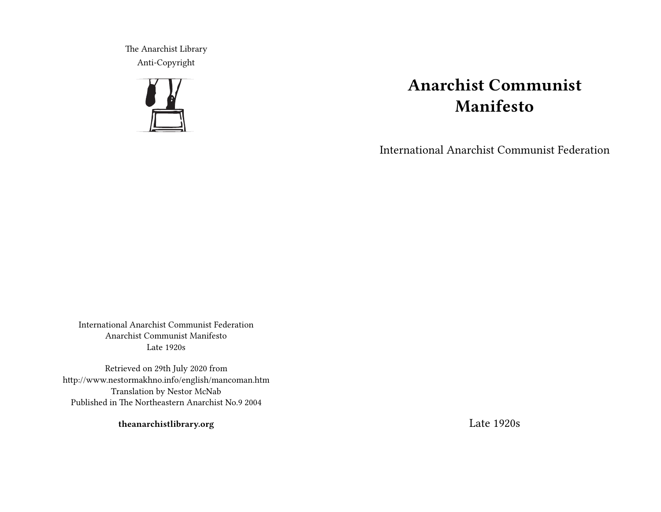The Anarchist Library Anti-Copyright



# **Anarchist Communist Manifesto**

International Anarchist Communist Federation

International Anarchist Communist Federation Anarchist Communist Manifesto Late 1920s

Retrieved on 29th July 2020 from http://www.nestormakhno.info/english/mancoman.htm Translation by Nestor McNab Published in The Northeastern Anarchist No.9 2004

**theanarchistlibrary.org**

Late 1920s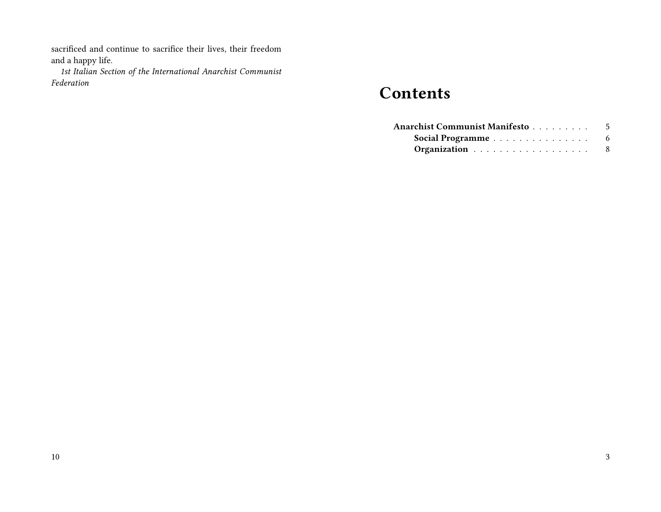sacrificed and continue to sacrifice their lives, their freedom and a happy life.

*1st Italian Section of the International Anarchist Communist Federation*

## **Contents**

| Anarchist Communist Manifesto5 |  |
|--------------------------------|--|
|                                |  |
| Organization 8                 |  |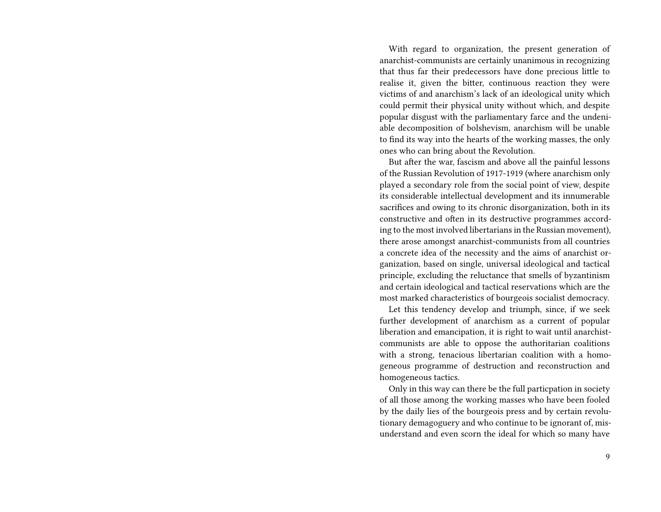With regard to organization, the present generation of anarchist-communists are certainly unanimous in recognizing that thus far their predecessors have done precious little to realise it, given the bitter, continuous reaction they were victims of and anarchism's lack of an ideological unity which could permit their physical unity without which, and despite popular disgust with the parliamentary farce and the undeniable decomposition of bolshevism, anarchism will be unable to find its way into the hearts of the working masses, the only ones who can bring about the Revolution.

But after the war, fascism and above all the painful lessons of the Russian Revolution of 1917-1919 (where anarchism only played a secondary role from the social point of view, despite its considerable intellectual development and its innumerable sacrifices and owing to its chronic disorganization, both in its constructive and often in its destructive programmes according to the most involved libertarians in the Russian movement), there arose amongst anarchist-communists from all countries a concrete idea of the necessity and the aims of anarchist organization, based on single, universal ideological and tactical principle, excluding the reluctance that smells of byzantinism and certain ideological and tactical reservations which are the most marked characteristics of bourgeois socialist democracy.

Let this tendency develop and triumph, since, if we seek further development of anarchism as a current of popular liberation and emancipation, it is right to wait until anarchistcommunists are able to oppose the authoritarian coalitions with a strong, tenacious libertarian coalition with a homogeneous programme of destruction and reconstruction and homogeneous tactics.

Only in this way can there be the full particpation in society of all those among the working masses who have been fooled by the daily lies of the bourgeois press and by certain revolutionary demagoguery and who continue to be ignorant of, misunderstand and even scorn the ideal for which so many have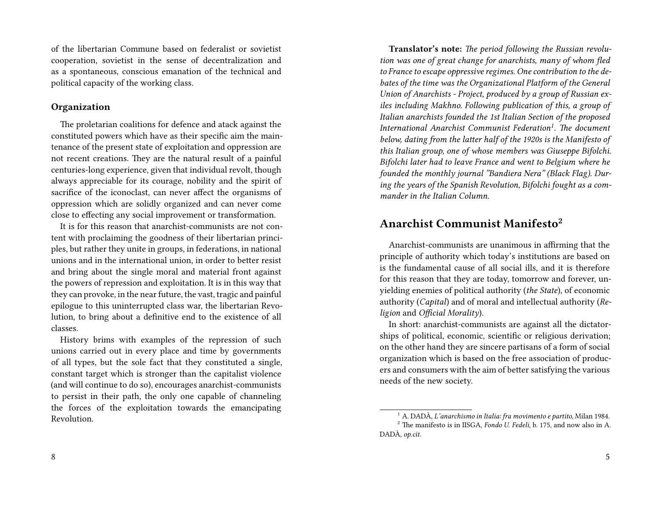of the libertarian Commune based on federalist or sovietist cooperation, sovietist in the sense of decentralization and as a spontaneous, conscious emanation of the technical and political capacity of the working class.

#### **Organization**

The proletarian coalitions for defence and atack against the constituted powers which have as their specific aim the maintenance of the present state of exploitation and oppression are not recent creations. They are the natural result of a painful centuries-long experience, given that individual revolt, though always appreciable for its courage, nobility and the spirit of sacrifice of the iconoclast, can never affect the organisms of oppression which are solidly organized and can never come close to effecting any social improvement or transformation.

It is for this reason that anarchist-communists are not content with proclaiming the goodness of their libertarian principles, but rather they unite in groups, in federations, in national unions and in the international union, in order to better resist and bring about the single moral and material front against the powers of repression and exploitation. It is in this way that they can provoke, in the near future, the vast, tragic and painful epilogue to this uninterrupted class war, the libertarian Revolution, to bring about a definitive end to the existence of all classes.

History brims with examples of the repression of such unions carried out in every place and time by governments of all types, but the sole fact that they constituted a single, constant target which is stronger than the capitalist violence (and will continue to do so), encourages anarchist-communists to persist in their path, the only one capable of channeling the forces of the exploitation towards the emancipating Revolution.

**Translator's note:** *The period following the Russian revolution was one of great change for anarchists, many of whom fled to France to escape oppressive regimes. One contribution to the debates of the time was the Organizational Platform of the General Union of Anarchists - Project, produced by a group of Russian exiles including Makhno. Following publication of this, a group of Italian anarchists founded the 1st Italian Section of the proposed International Anarchist Communist Federation<sup>1</sup> . The document below, dating from the latter half of the 1920s is the Manifesto of this Italian group, one of whose members was Giuseppe Bifolchi. Bifolchi later had to leave France and went to Belgium where he founded the monthly journal "Bandiera Nera" (Black Flag). During the years of the Spanish Revolution, Bifolchi fought as a commander in the Italian Column.*

### **Anarchist Communist Manifesto<sup>2</sup>**

Anarchist-communists are unanimous in affirming that the principle of authority which today's institutions are based on is the fundamental cause of all social ills, and it is therefore for this reason that they are today, tomorrow and forever, unyielding enemies of political authority (*the State*), of economic authority (*Capital*) and of moral and intellectual authority (*Religion* and *Official Morality*).

In short: anarchist-communists are against all the dictatorships of political, economic, scientific or religious derivation; on the other hand they are sincere partisans of a form of social organization which is based on the free association of producers and consumers with the aim of better satisfying the various needs of the new society.

<sup>1</sup> A. DADÀ, *L'anarchismo in Italia: fra movimento e partito*, Milan 1984. <sup>2</sup> The manifesto is in IISGA, *Fondo U. Fedeli*, b. 175, and now also in A. DADÀ, *op.cit*.